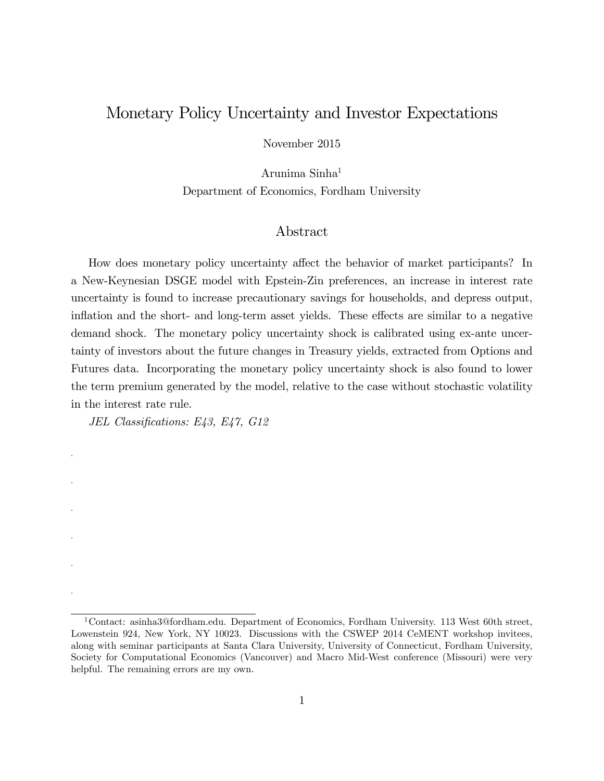## Monetary Policy Uncertainty and Investor Expectations

November 2015

Arunima Sinha<sup>1</sup> Department of Economics, Fordham University

#### Abstract

How does monetary policy uncertainty affect the behavior of market participants? In a New-Keynesian DSGE model with Epstein-Zin preferences, an increase in interest rate uncertainty is found to increase precautionary savings for households, and depress output, inflation and the short- and long-term asset yields. These effects are similar to a negative demand shock. The monetary policy uncertainty shock is calibrated using ex-ante uncertainty of investors about the future changes in Treasury yields, extracted from Options and Futures data. Incorporating the monetary policy uncertainty shock is also found to lower the term premium generated by the model, relative to the case without stochastic volatility in the interest rate rule.

JEL Classifications: E43, E47, G12

.

.

.

.

.

.

<sup>&</sup>lt;sup>1</sup>Contact: asinha3@fordham.edu. Department of Economics, Fordham University. 113 West 60th street, Lowenstein 924, New York, NY 10023. Discussions with the CSWEP 2014 CeMENT workshop invitees, along with seminar participants at Santa Clara University, University of Connecticut, Fordham University, Society for Computational Economics (Vancouver) and Macro Mid-West conference (Missouri) were very helpful. The remaining errors are my own.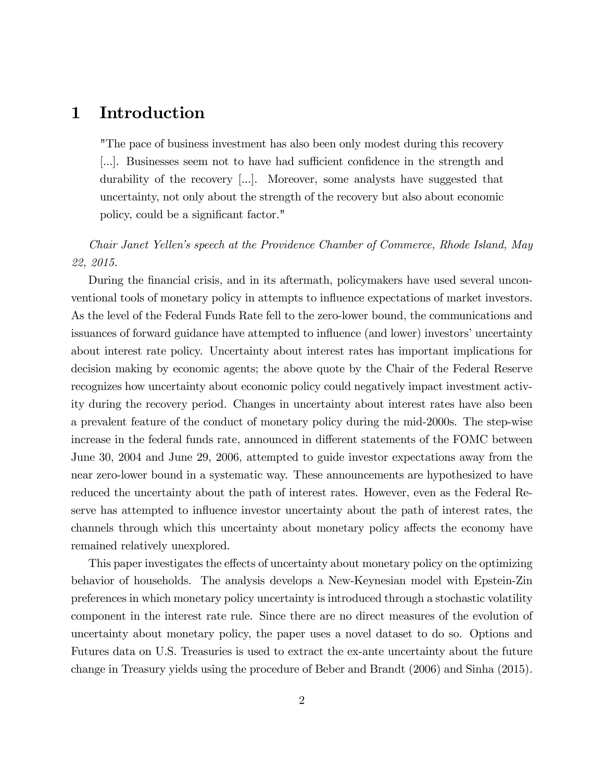# 1 Introduction

"The pace of business investment has also been only modest during this recovery [...]. Businesses seem not to have had sufficient confidence in the strength and durability of the recovery [...]. Moreover, some analysts have suggested that uncertainty, not only about the strength of the recovery but also about economic policy, could be a significant factor."

### Chair Janet Yellenís speech at the Providence Chamber of Commerce, Rhode Island, May 22, 2015.

During the financial crisis, and in its aftermath, policymakers have used several unconventional tools of monetary policy in attempts to influence expectations of market investors. As the level of the Federal Funds Rate fell to the zero-lower bound, the communications and issuances of forward guidance have attempted to influence (and lower) investors' uncertainty about interest rate policy. Uncertainty about interest rates has important implications for decision making by economic agents; the above quote by the Chair of the Federal Reserve recognizes how uncertainty about economic policy could negatively impact investment activity during the recovery period. Changes in uncertainty about interest rates have also been a prevalent feature of the conduct of monetary policy during the mid-2000s. The step-wise increase in the federal funds rate, announced in different statements of the FOMC between June 30, 2004 and June 29, 2006, attempted to guide investor expectations away from the near zero-lower bound in a systematic way. These announcements are hypothesized to have reduced the uncertainty about the path of interest rates. However, even as the Federal Reserve has attempted to influence investor uncertainty about the path of interest rates, the channels through which this uncertainty about monetary policy affects the economy have remained relatively unexplored.

This paper investigates the effects of uncertainty about monetary policy on the optimizing behavior of households. The analysis develops a New-Keynesian model with Epstein-Zin preferences in which monetary policy uncertainty is introduced through a stochastic volatility component in the interest rate rule. Since there are no direct measures of the evolution of uncertainty about monetary policy, the paper uses a novel dataset to do so. Options and Futures data on U.S. Treasuries is used to extract the ex-ante uncertainty about the future change in Treasury yields using the procedure of Beber and Brandt (2006) and Sinha (2015).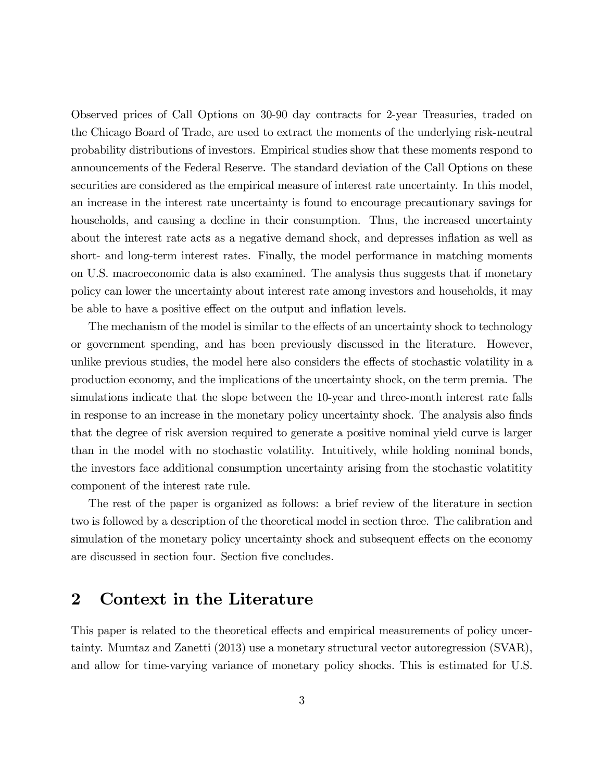Observed prices of Call Options on 30-90 day contracts for 2-year Treasuries, traded on the Chicago Board of Trade, are used to extract the moments of the underlying risk-neutral probability distributions of investors. Empirical studies show that these moments respond to announcements of the Federal Reserve. The standard deviation of the Call Options on these securities are considered as the empirical measure of interest rate uncertainty. In this model, an increase in the interest rate uncertainty is found to encourage precautionary savings for households, and causing a decline in their consumption. Thus, the increased uncertainty about the interest rate acts as a negative demand shock, and depresses ináation as well as short- and long-term interest rates. Finally, the model performance in matching moments on U.S. macroeconomic data is also examined. The analysis thus suggests that if monetary policy can lower the uncertainty about interest rate among investors and households, it may be able to have a positive effect on the output and inflation levels.

The mechanism of the model is similar to the effects of an uncertainty shock to technology or government spending, and has been previously discussed in the literature. However, unlike previous studies, the model here also considers the effects of stochastic volatility in a production economy, and the implications of the uncertainty shock, on the term premia. The simulations indicate that the slope between the 10-year and three-month interest rate falls in response to an increase in the monetary policy uncertainty shock. The analysis also Önds that the degree of risk aversion required to generate a positive nominal yield curve is larger than in the model with no stochastic volatility. Intuitively, while holding nominal bonds, the investors face additional consumption uncertainty arising from the stochastic volatitity component of the interest rate rule.

The rest of the paper is organized as follows: a brief review of the literature in section two is followed by a description of the theoretical model in section three. The calibration and simulation of the monetary policy uncertainty shock and subsequent effects on the economy are discussed in section four. Section five concludes.

# 2 Context in the Literature

This paper is related to the theoretical effects and empirical measurements of policy uncertainty. Mumtaz and Zanetti (2013) use a monetary structural vector autoregression (SVAR), and allow for time-varying variance of monetary policy shocks. This is estimated for U.S.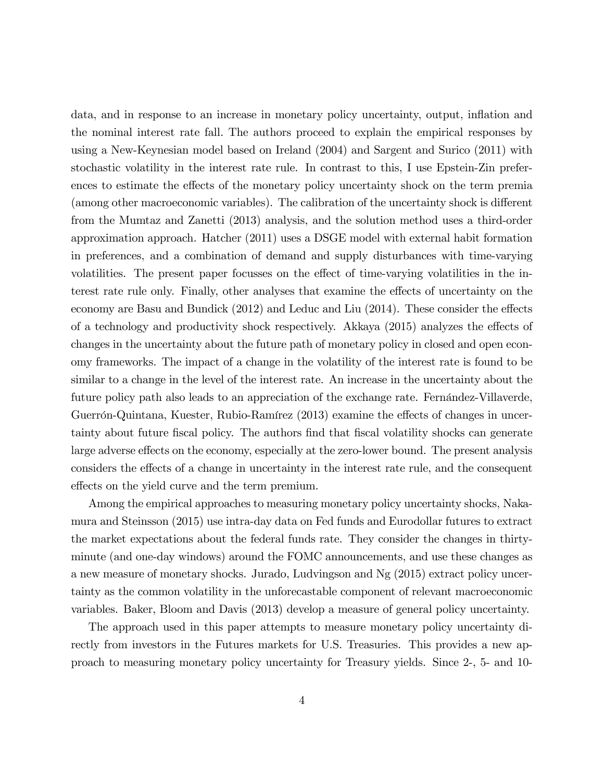data, and in response to an increase in monetary policy uncertainty, output, ináation and the nominal interest rate fall. The authors proceed to explain the empirical responses by using a New-Keynesian model based on Ireland (2004) and Sargent and Surico (2011) with stochastic volatility in the interest rate rule. In contrast to this, I use Epstein-Zin preferences to estimate the effects of the monetary policy uncertainty shock on the term premia (among other macroeconomic variables). The calibration of the uncertainty shock is different from the Mumtaz and Zanetti (2013) analysis, and the solution method uses a third-order approximation approach. Hatcher (2011) uses a DSGE model with external habit formation in preferences, and a combination of demand and supply disturbances with time-varying volatilities. The present paper focusses on the effect of time-varying volatilities in the interest rate rule only. Finally, other analyses that examine the effects of uncertainty on the economy are Basu and Bundick  $(2012)$  and Leduc and Liu  $(2014)$ . These consider the effects of a technology and productivity shock respectively. Akkaya  $(2015)$  analyzes the effects of changes in the uncertainty about the future path of monetary policy in closed and open economy frameworks. The impact of a change in the volatility of the interest rate is found to be similar to a change in the level of the interest rate. An increase in the uncertainty about the future policy path also leads to an appreciation of the exchange rate. Fernandez-Villaverde, Guerrón-Quintana, Kuester, Rubio-Ramírez (2013) examine the effects of changes in uncertainty about future fiscal policy. The authors find that fiscal volatility shocks can generate large adverse effects on the economy, especially at the zero-lower bound. The present analysis considers the effects of a change in uncertainty in the interest rate rule, and the consequent effects on the yield curve and the term premium.

Among the empirical approaches to measuring monetary policy uncertainty shocks, Nakamura and Steinsson (2015) use intra-day data on Fed funds and Eurodollar futures to extract the market expectations about the federal funds rate. They consider the changes in thirtyminute (and one-day windows) around the FOMC announcements, and use these changes as a new measure of monetary shocks. Jurado, Ludvingson and Ng (2015) extract policy uncertainty as the common volatility in the unforecastable component of relevant macroeconomic variables. Baker, Bloom and Davis (2013) develop a measure of general policy uncertainty.

The approach used in this paper attempts to measure monetary policy uncertainty directly from investors in the Futures markets for U.S. Treasuries. This provides a new approach to measuring monetary policy uncertainty for Treasury yields. Since 2-, 5- and 10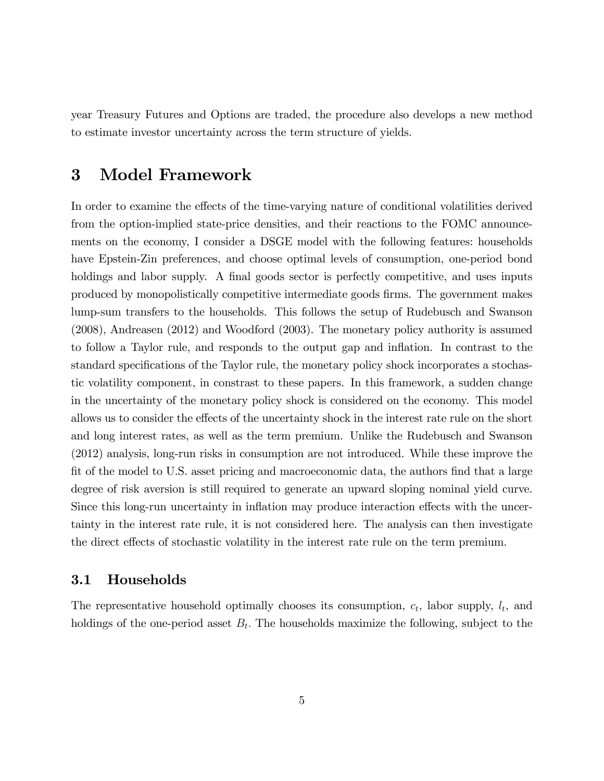year Treasury Futures and Options are traded, the procedure also develops a new method to estimate investor uncertainty across the term structure of yields.

# 3 Model Framework

In order to examine the effects of the time-varying nature of conditional volatilities derived from the option-implied state-price densities, and their reactions to the FOMC announcements on the economy, I consider a DSGE model with the following features: households have Epstein-Zin preferences, and choose optimal levels of consumption, one-period bond holdings and labor supply. A final goods sector is perfectly competitive, and uses inputs produced by monopolistically competitive intermediate goods Örms. The government makes lump-sum transfers to the households. This follows the setup of Rudebusch and Swanson (2008), Andreasen (2012) and Woodford (2003). The monetary policy authority is assumed to follow a Taylor rule, and responds to the output gap and ináation. In contrast to the standard specifications of the Taylor rule, the monetary policy shock incorporates a stochastic volatility component, in constrast to these papers. In this framework, a sudden change in the uncertainty of the monetary policy shock is considered on the economy. This model allows us to consider the effects of the uncertainty shock in the interest rate rule on the short and long interest rates, as well as the term premium. Unlike the Rudebusch and Swanson (2012) analysis, long-run risks in consumption are not introduced. While these improve the fit of the model to U.S. asset pricing and macroeconomic data, the authors find that a large degree of risk aversion is still required to generate an upward sloping nominal yield curve. Since this long-run uncertainty in inflation may produce interaction effects with the uncertainty in the interest rate rule, it is not considered here. The analysis can then investigate the direct effects of stochastic volatility in the interest rate rule on the term premium.

#### 3.1 Households

The representative household optimally chooses its consumption,  $c_t$ , labor supply,  $l_t$ , and holdings of the one-period asset  $B_t$ . The households maximize the following, subject to the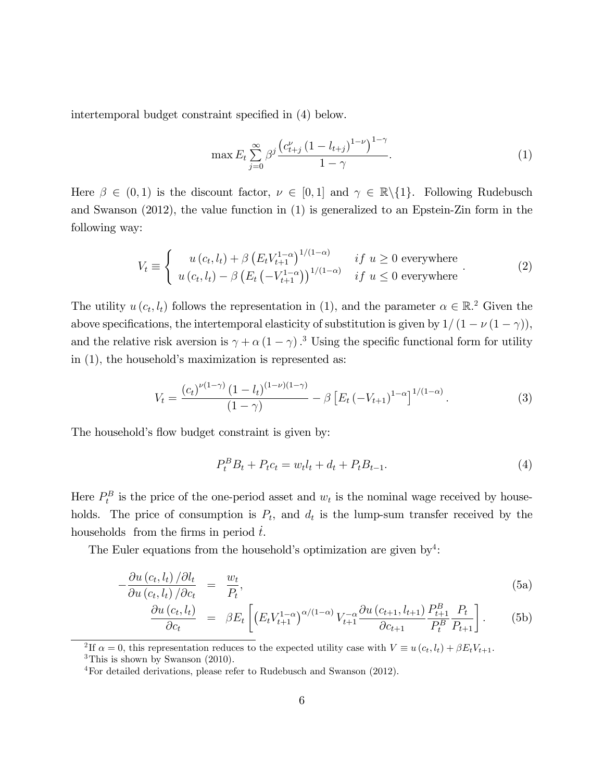intertemporal budget constraint specified in  $(4)$  below.

$$
\max E_t \sum_{j=0}^{\infty} \beta^j \frac{\left(c_{t+j}^{\nu} \left(1 - l_{t+j}\right)^{1-\nu}\right)^{1-\gamma}}{1-\gamma}.
$$
\n(1)

Here  $\beta \in (0,1)$  is the discount factor,  $\nu \in [0,1]$  and  $\gamma \in \mathbb{R}\setminus\{1\}$ . Following Rudebusch and Swanson (2012), the value function in (1) is generalized to an Epstein-Zin form in the following way:

$$
V_t \equiv \begin{cases} u(c_t, l_t) + \beta \left( E_t V_{t+1}^{1-\alpha} \right)^{1/(1-\alpha)} & \text{if } u \ge 0 \text{ everywhere} \\ u(c_t, l_t) - \beta \left( E_t \left( -V_{t+1}^{1-\alpha} \right) \right)^{1/(1-\alpha)} & \text{if } u \le 0 \text{ everywhere} \end{cases} \tag{2}
$$

The utility  $u(c_t, l_t)$  follows the representation in (1), and the parameter  $\alpha \in \mathbb{R}^2$ . Given the above specifications, the intertemporal elasticity of substitution is given by  $1/(1 - \nu(1 - \gamma))$ , and the relative risk aversion is  $\gamma + \alpha (1 - \gamma)$ .<sup>3</sup> Using the specific functional form for utility in  $(1)$ , the household's maximization is represented as:

$$
V_t = \frac{(c_t)^{\nu(1-\gamma)} (1 - l_t)^{(1-\nu)(1-\gamma)}}{(1-\gamma)} - \beta \left[ E_t \left( -V_{t+1} \right)^{1-\alpha} \right]^{1/(1-\alpha)}.
$$
 (3)

The household's flow budget constraint is given by:

$$
P_t^B B_t + P_t c_t = w_t l_t + d_t + P_t B_{t-1}.
$$
\n(4)

Here  $P_t^B$  is the price of the one-period asset and  $w_t$  is the nominal wage received by households. The price of consumption is  $P_t$ , and  $d_t$  is the lump-sum transfer received by the households from the firms in period  $t$ .

The Euler equations from the household's optimization are given by<sup>4</sup>:

$$
-\frac{\partial u\left(c_t, l_t\right)/\partial l_t}{\partial u\left(c_t, l_t\right)/\partial c_t} = \frac{w_t}{P_t},\tag{5a}
$$

$$
\frac{\partial u\left(c_{t}, l_{t}\right)}{\partial c_{t}} = \beta E_{t}\left[\left(E_{t} V_{t+1}^{1-\alpha}\right)^{\alpha/(1-\alpha)} V_{t+1}^{-\alpha} \frac{\partial u\left(c_{t+1}, l_{t+1}\right)}{\partial c_{t+1}} \frac{P_{t+1}^{B}}{P_{t}^{B}} \frac{P_{t}}{P_{t+1}}\right].
$$
 (5b)

<sup>2</sup>If  $\alpha = 0$ , this representation reduces to the expected utility case with  $V \equiv u(c_t, l_t) + \beta E_t V_{t+1}$ .  ${}^{3}$ This is shown by Swanson (2010).

<sup>4</sup>For detailed derivations, please refer to Rudebusch and Swanson (2012).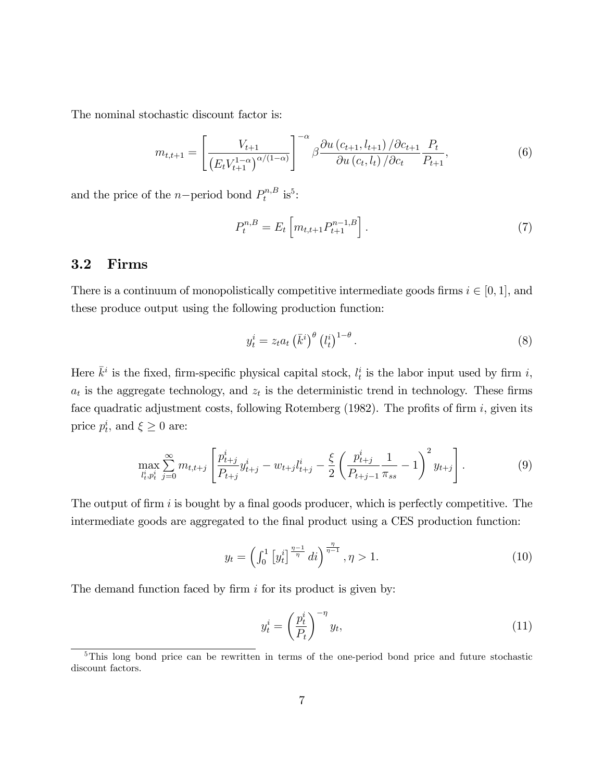The nominal stochastic discount factor is:

$$
m_{t,t+1} = \left[\frac{V_{t+1}}{\left(E_t V_{t+1}^{1-\alpha}\right)^{\alpha/(1-\alpha)}}\right]^{-\alpha} \beta \frac{\partial u\left(c_{t+1}, l_{t+1}\right) / \partial c_{t+1}}{\partial u\left(c_t, l_t\right) / \partial c_t} \frac{P_t}{P_{t+1}},\tag{6}
$$

and the price of the *n*-period bond  $P_t^{n,B}$  $t^{n,B}$  is<sup>5</sup>:

$$
P_t^{n,B} = E_t \left[ m_{t,t+1} P_{t+1}^{n-1,B} \right]. \tag{7}
$$

#### 3.2 Firms

There is a continuum of monopolistically competitive intermediate goods firms  $i \in [0, 1]$ , and these produce output using the following production function:

$$
y_t^i = z_t a_t \left(\bar{k}^i\right)^{\theta} \left(l_t^i\right)^{1-\theta}.
$$
\n
$$
(8)
$$

Here  $\bar{k}^i$  is the fixed, firm-specific physical capital stock,  $l_t^i$  is the labor input used by firm i,  $a_t$  is the aggregate technology, and  $z_t$  is the deterministic trend in technology. These firms face quadratic adjustment costs, following Rotemberg  $(1982)$ . The profits of firm i, given its price  $p_t^i$ , and  $\xi \geq 0$  are:

$$
\max_{l_t^i, p_t^i} \sum_{j=0}^{\infty} m_{t,t+j} \left[ \frac{p_{t+j}^i}{P_{t+j}} y_{t+j}^i - w_{t+j} l_{t+j}^i - \frac{\xi}{2} \left( \frac{p_{t+j}^i}{P_{t+j-1}} \frac{1}{\pi_{ss}} - 1 \right)^2 y_{t+j} \right].
$$
 (9)

The output of firm  $i$  is bought by a final goods producer, which is perfectly competitive. The intermediate goods are aggregated to the final product using a CES production function:

$$
y_t = \left(\int_0^1 \left[y_t^i\right]^{\frac{\eta - 1}{\eta}} dt\right)^{\frac{\eta}{\eta - 1}}, \eta > 1. \tag{10}
$$

The demand function faced by firm  $i$  for its product is given by:

$$
y_t^i = \left(\frac{p_t^i}{P_t}\right)^{-\eta} y_t,\tag{11}
$$

<sup>&</sup>lt;sup>5</sup>This long bond price can be rewritten in terms of the one-period bond price and future stochastic discount factors.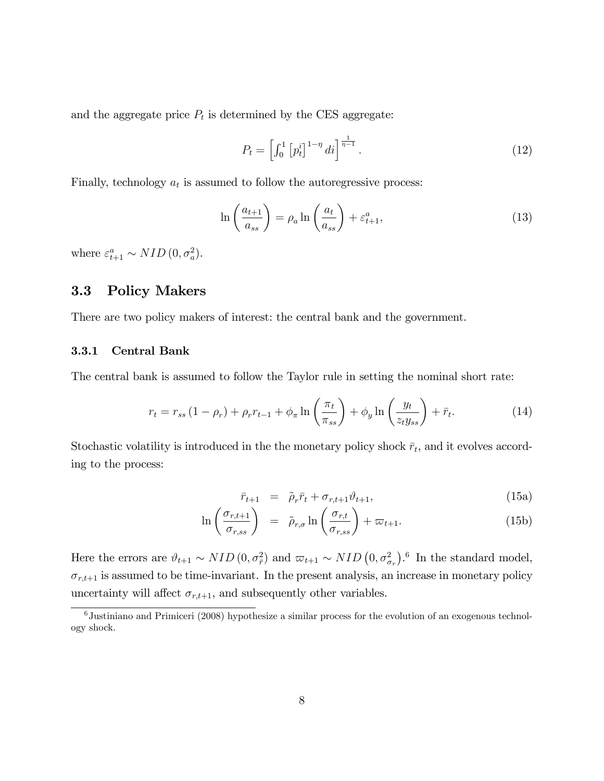and the aggregate price  $P_t$  is determined by the CES aggregate:

$$
P_t = \left[ \int_0^1 \left[ p_t^i \right]^{1-\eta} di \right]^{\frac{1}{\eta-1}}.
$$
 (12)

Finally, technology  $a_t$  is assumed to follow the autoregressive process:

$$
\ln\left(\frac{a_{t+1}}{a_{ss}}\right) = \rho_a \ln\left(\frac{a_t}{a_{ss}}\right) + \varepsilon_{t+1}^a,\tag{13}
$$

where  $\varepsilon_{t+1}^a \sim NID(0, \sigma_a^2)$ .

### 3.3 Policy Makers

There are two policy makers of interest: the central bank and the government.

#### 3.3.1 Central Bank

The central bank is assumed to follow the Taylor rule in setting the nominal short rate:

$$
r_t = r_{ss} \left( 1 - \rho_r \right) + \rho_r r_{t-1} + \phi_\pi \ln \left( \frac{\pi_t}{\pi_{ss}} \right) + \phi_y \ln \left( \frac{y_t}{z_t y_{ss}} \right) + \bar{r}_t. \tag{14}
$$

Stochastic volatility is introduced in the the monetary policy shock  $\bar{r}_t$ , and it evolves according to the process:

$$
\bar{r}_{t+1} = \tilde{\rho}_r \bar{r}_t + \sigma_{r,t+1} \vartheta_{t+1}, \qquad (15a)
$$

$$
\ln\left(\frac{\sigma_{r,t+1}}{\sigma_{r,ss}}\right) = \tilde{\rho}_{r,\sigma} \ln\left(\frac{\sigma_{r,t}}{\sigma_{r,ss}}\right) + \varpi_{t+1}.
$$
\n(15b)

Here the errors are  $\vartheta_{t+1} \sim NID(0, \sigma_{\bar{r}}^2)$  and  $\varpi_{t+1} \sim NID(0, \sigma_{\sigma_r}^2)$ .<sup>6</sup> In the standard model,  $\sigma_{r,t+1}$  is assumed to be time-invariant. In the present analysis, an increase in monetary policy uncertainty will affect  $\sigma_{r,t+1}$ , and subsequently other variables.

 $6$ Justiniano and Primiceri (2008) hypothesize a similar process for the evolution of an exogenous technology shock.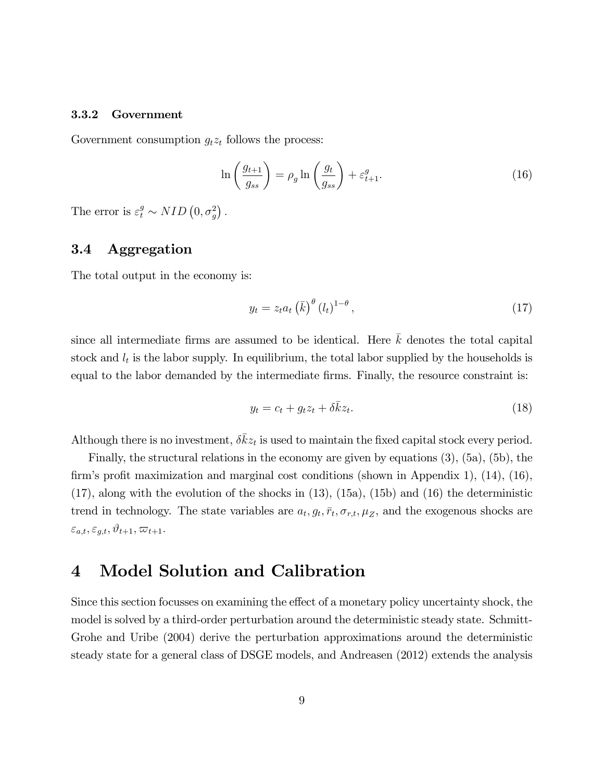#### 3.3.2 Government

Government consumption  $g_t z_t$  follows the process:

$$
\ln\left(\frac{g_{t+1}}{g_{ss}}\right) = \rho_g \ln\left(\frac{g_t}{g_{ss}}\right) + \varepsilon_{t+1}^g.
$$
\n(16)

The error is  $\varepsilon_t^g \sim NID\left(0, \sigma_g^2\right)$ .

### 3.4 Aggregation

The total output in the economy is:

$$
y_t = z_t a_t \left(\bar{k}\right)^{\theta} \left(l_t\right)^{1-\theta},\tag{17}
$$

since all intermediate firms are assumed to be identical. Here  $\bar{k}$  denotes the total capital stock and  $l_t$  is the labor supply. In equilibrium, the total labor supplied by the households is equal to the labor demanded by the intermediate firms. Finally, the resource constraint is:

$$
y_t = c_t + g_t z_t + \delta \bar{k} z_t.
$$
\n
$$
(18)
$$

Although there is no investment,  $\delta \bar{k} z_t$  is used to maintain the fixed capital stock every period.

Finally, the structural relations in the economy are given by equations (3), (5a), (5b), the firm's profit maximization and marginal cost conditions (shown in Appendix 1),  $(14)$ ,  $(16)$ ,  $(17)$ , along with the evolution of the shocks in  $(13)$ ,  $(15a)$ ,  $(15b)$  and  $(16)$  the deterministic trend in technology. The state variables are  $a_t, g_t, \bar{r}_t, \sigma_{r,t}, \mu_Z$ , and the exogenous shocks are  $\varepsilon_{a,t}, \varepsilon_{g,t}, \vartheta_{t+1}, \varpi_{t+1}.$ 

# 4 Model Solution and Calibration

Since this section focusses on examining the effect of a monetary policy uncertainty shock, the model is solved by a third-order perturbation around the deterministic steady state. Schmitt-Grohe and Uribe (2004) derive the perturbation approximations around the deterministic steady state for a general class of DSGE models, and Andreasen (2012) extends the analysis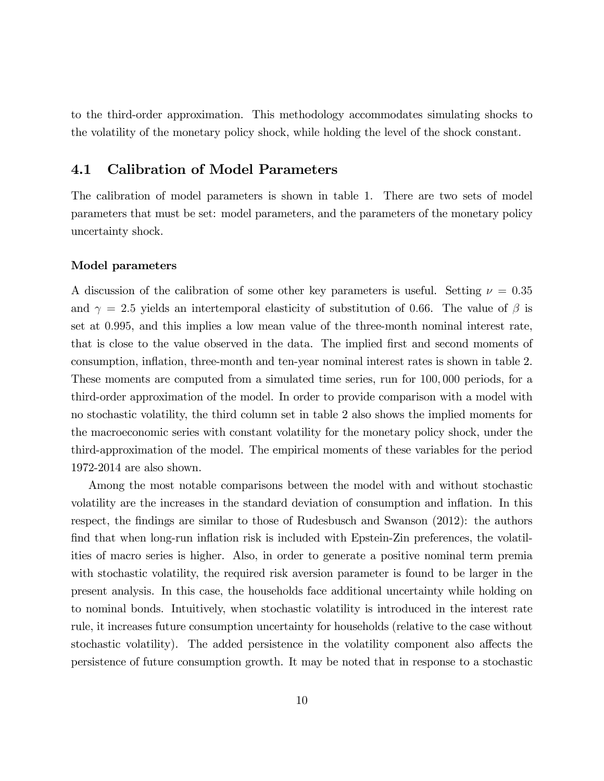to the third-order approximation. This methodology accommodates simulating shocks to the volatility of the monetary policy shock, while holding the level of the shock constant.

### 4.1 Calibration of Model Parameters

The calibration of model parameters is shown in table 1. There are two sets of model parameters that must be set: model parameters, and the parameters of the monetary policy uncertainty shock.

#### Model parameters

A discussion of the calibration of some other key parameters is useful. Setting  $\nu = 0.35$ and  $\gamma = 2.5$  yields an intertemporal elasticity of substitution of 0.66. The value of  $\beta$  is set at 0:995, and this implies a low mean value of the three-month nominal interest rate, that is close to the value observed in the data. The implied first and second moments of consumption, ináation, three-month and ten-year nominal interest rates is shown in table 2. These moments are computed from a simulated time series, run for 100; 000 periods, for a third-order approximation of the model. In order to provide comparison with a model with no stochastic volatility, the third column set in table 2 also shows the implied moments for the macroeconomic series with constant volatility for the monetary policy shock, under the third-approximation of the model. The empirical moments of these variables for the period 1972-2014 are also shown.

Among the most notable comparisons between the model with and without stochastic volatility are the increases in the standard deviation of consumption and inflation. In this respect, the findings are similar to those of Rudesbusch and Swanson (2012): the authors find that when long-run inflation risk is included with Epstein-Zin preferences, the volatilities of macro series is higher. Also, in order to generate a positive nominal term premia with stochastic volatility, the required risk aversion parameter is found to be larger in the present analysis. In this case, the households face additional uncertainty while holding on to nominal bonds. Intuitively, when stochastic volatility is introduced in the interest rate rule, it increases future consumption uncertainty for households (relative to the case without stochastic volatility). The added persistence in the volatility component also affects the persistence of future consumption growth. It may be noted that in response to a stochastic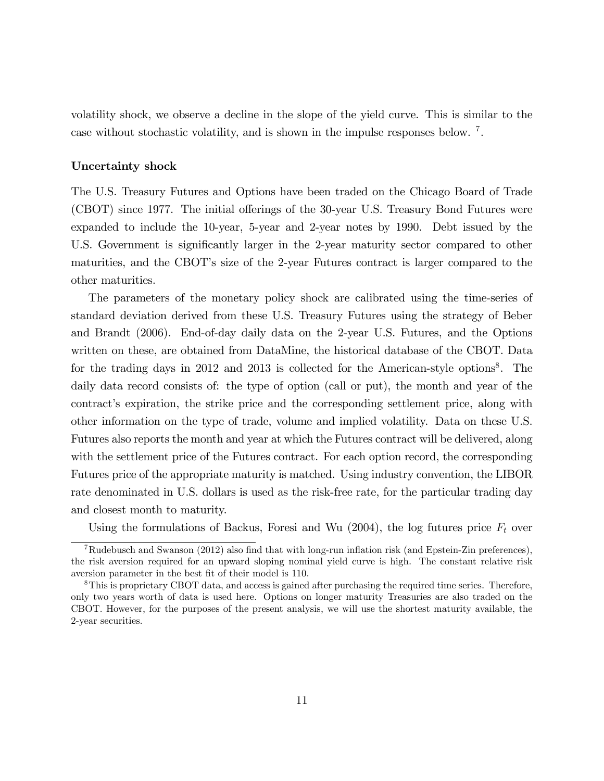volatility shock, we observe a decline in the slope of the yield curve. This is similar to the case without stochastic volatility, and is shown in the impulse responses below. <sup>7</sup> .

#### Uncertainty shock

The U.S. Treasury Futures and Options have been traded on the Chicago Board of Trade (CBOT) since 1977. The initial offerings of the 30-year U.S. Treasury Bond Futures were expanded to include the 10-year, 5-year and 2-year notes by 1990. Debt issued by the U.S. Government is significantly larger in the 2-year maturity sector compared to other maturities, and the CBOT's size of the 2-year Futures contract is larger compared to the other maturities.

The parameters of the monetary policy shock are calibrated using the time-series of standard deviation derived from these U.S. Treasury Futures using the strategy of Beber and Brandt (2006). End-of-day daily data on the 2-year U.S. Futures, and the Options written on these, are obtained from DataMine, the historical database of the CBOT. Data for the trading days in 2012 and 2013 is collected for the American-style options<sup>8</sup>. The daily data record consists of: the type of option (call or put), the month and year of the contract's expiration, the strike price and the corresponding settlement price, along with other information on the type of trade, volume and implied volatility. Data on these U.S. Futures also reports the month and year at which the Futures contract will be delivered, along with the settlement price of the Futures contract. For each option record, the corresponding Futures price of the appropriate maturity is matched. Using industry convention, the LIBOR rate denominated in U.S. dollars is used as the risk-free rate, for the particular trading day and closest month to maturity.

Using the formulations of Backus, Foresi and Wu  $(2004)$ , the log futures price  $F_t$  over

<sup>&</sup>lt;sup>7</sup>Rudebusch and Swanson (2012) also find that with long-run inflation risk (and Epstein-Zin preferences), the risk aversion required for an upward sloping nominal yield curve is high. The constant relative risk aversion parameter in the best fit of their model is 110.

<sup>8</sup>This is proprietary CBOT data, and access is gained after purchasing the required time series. Therefore, only two years worth of data is used here. Options on longer maturity Treasuries are also traded on the CBOT. However, for the purposes of the present analysis, we will use the shortest maturity available, the 2-year securities.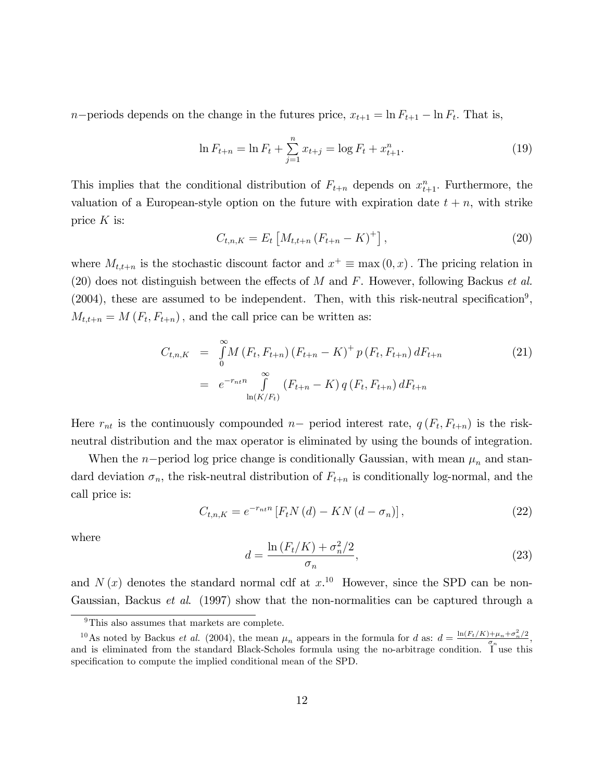*n*-periods depends on the change in the futures price,  $x_{t+1} = \ln F_{t+1} - \ln F_t$ . That is,

$$
\ln F_{t+n} = \ln F_t + \sum_{j=1}^{n} x_{t+j} = \log F_t + x_{t+1}^n.
$$
\n(19)

This implies that the conditional distribution of  $F_{t+n}$  depends on  $x_{t+1}^n$ . Furthermore, the valuation of a European-style option on the future with expiration date  $t + n$ , with strike price  $K$  is:

$$
C_{t,n,K} = E_t \left[ M_{t,t+n} \left( F_{t+n} - K \right)^+ \right], \tag{20}
$$

where  $M_{t,t+n}$  is the stochastic discount factor and  $x^+ \equiv \max(0, x)$ . The pricing relation in (20) does not distinguish between the effects of  $M$  and  $F$ . However, following Backus et al.  $(2004)$ , these are assumed to be independent. Then, with this risk-neutral specification<sup>9</sup>,  $M_{t,t+n} = M(F_t, F_{t+n})$ , and the call price can be written as:

$$
C_{t,n,K} = \int_{0}^{\infty} M(F_t, F_{t+n}) (F_{t+n} - K)^+ p(F_t, F_{t+n}) dF_{t+n}
$$
  
=  $e^{-r_{nt}n} \int_{\ln(K/F_t)}^{\infty} (F_{t+n} - K) q(F_t, F_{t+n}) dF_{t+n}$  (21)

Here  $r_{nt}$  is the continuously compounded  $n-$  period interest rate,  $q(F_t, F_{t+n})$  is the riskneutral distribution and the max operator is eliminated by using the bounds of integration.

When the n-period log price change is conditionally Gaussian, with mean  $\mu_n$  and standard deviation  $\sigma_n$ , the risk-neutral distribution of  $F_{t+n}$  is conditionally log-normal, and the call price is:

$$
C_{t,n,K} = e^{-r_{nt}n} \left[ F_t N(d) - KN(d - \sigma_n) \right], \tag{22}
$$

where

$$
d = \frac{\ln\left(F_t/K\right) + \sigma_n^2/2}{\sigma_n},\tag{23}
$$

and  $N(x)$  denotes the standard normal cdf at  $x<sup>10</sup>$ . However, since the SPD can be non-Gaussian, Backus et al. (1997) show that the non-normalities can be captured through a

<sup>&</sup>lt;sup>9</sup>This also assumes that markets are complete.

<sup>&</sup>lt;sup>10</sup>As noted by Backus *et al.* (2004), the mean  $\mu_n$  appears in the formula for *d* as:  $d = \frac{\ln(F_t/K) + \mu_n + \sigma_n^2/2}{\sigma_n}$ , and is eliminated from the standard Black-Scholes formula using the no-arbitrage condition. I use this specification to compute the implied conditional mean of the SPD.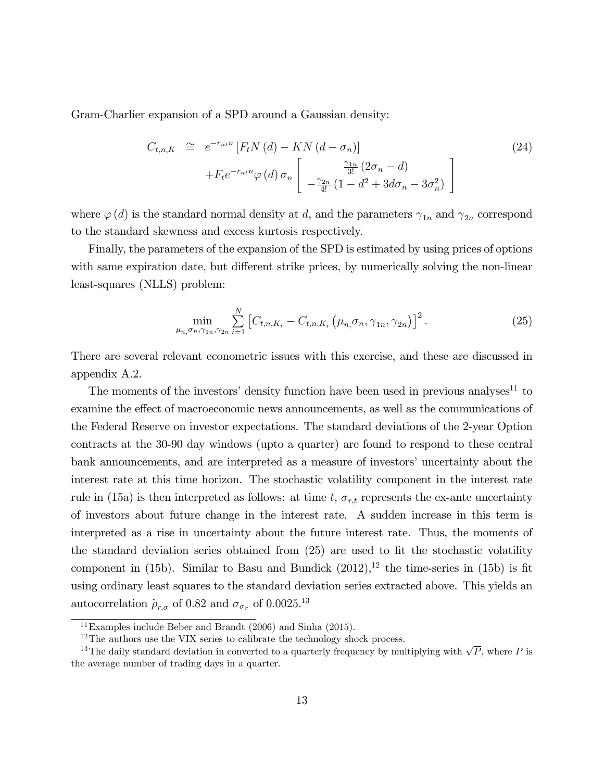Gram-Charlier expansion of a SPD around a Gaussian density:

$$
C_{t,n,K} \cong e^{-r_{nt}n} \left[ F_t N(d) - KN(d - \sigma_n) \right]
$$
\n
$$
+ F_t e^{-r_{nt}n} \varphi(d) \sigma_n \left[ \frac{\frac{\gamma_{1n}}{3!} (2\sigma_n - d)}{-\frac{\gamma_{2n}}{4!} (1 - d^2 + 3d\sigma_n - 3\sigma_n^2)} \right]
$$
\n
$$
(24)
$$

where  $\varphi(d)$  is the standard normal density at d, and the parameters  $\gamma_{1n}$  and  $\gamma_{2n}$  correspond to the standard skewness and excess kurtosis respectively.

Finally, the parameters of the expansion of the SPD is estimated by using prices of options with same expiration date, but different strike prices, by numerically solving the non-linear least-squares (NLLS) problem:

$$
\min_{\mu_{n,\sigma_{n},\gamma_{1n},\gamma_{2n}}} \sum_{i=1}^{N} \left[ C_{t,n,K_{i}} - C_{t,n,K_{i}} \left( \mu_{n,\sigma_{n},\gamma_{1n},\gamma_{2n}} \right) \right]^{2}.
$$
 (25)

There are several relevant econometric issues with this exercise, and these are discussed in appendix A.2.

The moments of the investors' density function have been used in previous analyses<sup>11</sup> to examine the effect of macroeconomic news announcements, as well as the communications of the Federal Reserve on investor expectations. The standard deviations of the 2-year Option contracts at the 30-90 day windows (upto a quarter) are found to respond to these central bank announcements, and are interpreted as a measure of investors' uncertainty about the interest rate at this time horizon. The stochastic volatility component in the interest rate rule in (15a) is then interpreted as follows: at time t,  $\sigma_{r,t}$  represents the ex-ante uncertainty of investors about future change in the interest rate. A sudden increase in this term is interpreted as a rise in uncertainty about the future interest rate. Thus, the moments of the standard deviation series obtained from  $(25)$  are used to fit the stochastic volatility component in (15b). Similar to Basu and Bundick  $(2012),<sup>12</sup>$  the time-series in (15b) is fit using ordinary least squares to the standard deviation series extracted above. This yields an autocorrelation  $\rho_{r,\sigma}$  of 0.82 and  $\sigma_{\sigma_r}$  of 0.0025.<sup>13</sup>

<sup>&</sup>lt;sup>11</sup>Examples include Beber and Brandt  $(2006)$  and Sinha  $(2015)$ .

 $12$ The authors use the VIX series to calibrate the technology shock process.

<sup>&</sup>lt;sup>13</sup>The daily standard deviation in converted to a quarterly frequency by multiplying with  $\sqrt{P}$ , where P is the average number of trading days in a quarter.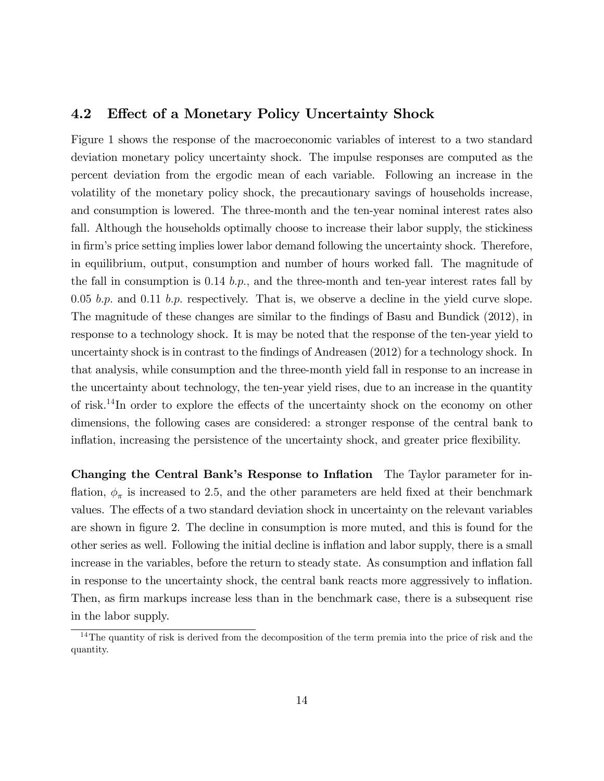### 4.2 Effect of a Monetary Policy Uncertainty Shock

Figure 1 shows the response of the macroeconomic variables of interest to a two standard deviation monetary policy uncertainty shock. The impulse responses are computed as the percent deviation from the ergodic mean of each variable. Following an increase in the volatility of the monetary policy shock, the precautionary savings of households increase, and consumption is lowered. The three-month and the ten-year nominal interest rates also fall. Although the households optimally choose to increase their labor supply, the stickiness in firm's price setting implies lower labor demand following the uncertainty shock. Therefore, in equilibrium, output, consumption and number of hours worked fall. The magnitude of the fall in consumption is 0.14 b.p., and the three-month and ten-year interest rates fall by 0.05 b.p. and 0.11 b.p. respectively. That is, we observe a decline in the yield curve slope. The magnitude of these changes are similar to the findings of Basu and Bundick (2012), in response to a technology shock. It is may be noted that the response of the ten-year yield to uncertainty shock is in contrast to the findings of Andreasen (2012) for a technology shock. In that analysis, while consumption and the three-month yield fall in response to an increase in the uncertainty about technology, the ten-year yield rises, due to an increase in the quantity of risk.<sup>14</sup>In order to explore the effects of the uncertainty shock on the economy on other dimensions, the following cases are considered: a stronger response of the central bank to inflation, increasing the persistence of the uncertainty shock, and greater price flexibility.

Changing the Central Bank's Response to Inflation The Taylor parameter for inflation,  $\phi_{\pi}$  is increased to 2.5, and the other parameters are held fixed at their benchmark values. The effects of a two standard deviation shock in uncertainty on the relevant variables are shown in figure 2. The decline in consumption is more muted, and this is found for the other series as well. Following the initial decline is ináation and labor supply, there is a small increase in the variables, before the return to steady state. As consumption and inflation fall in response to the uncertainty shock, the central bank reacts more aggressively to ináation. Then, as firm markups increase less than in the benchmark case, there is a subsequent rise in the labor supply.

<sup>&</sup>lt;sup>14</sup>The quantity of risk is derived from the decomposition of the term premia into the price of risk and the quantity.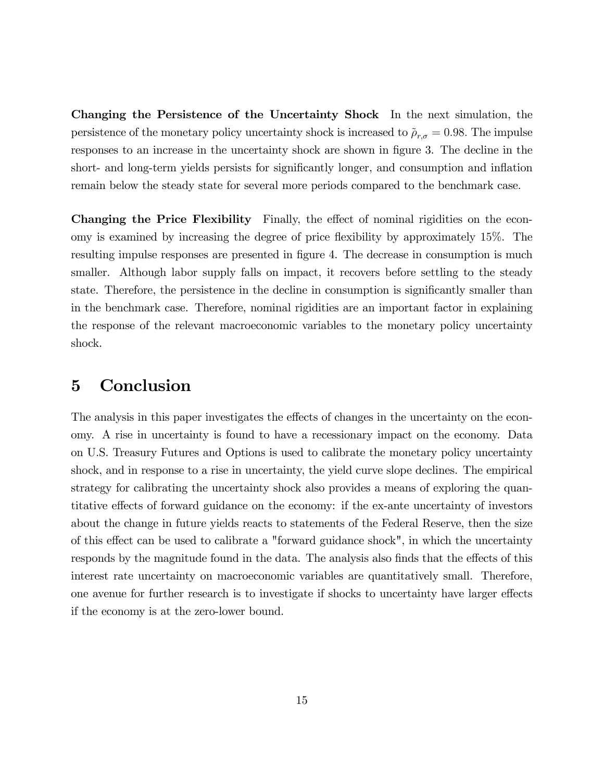Changing the Persistence of the Uncertainty Shock In the next simulation, the persistence of the monetary policy uncertainty shock is increased to  $\rho_{r,\sigma} = 0.98$ . The impulse responses to an increase in the uncertainty shock are shown in figure 3. The decline in the short- and long-term yields persists for significantly longer, and consumption and inflation remain below the steady state for several more periods compared to the benchmark case.

Changing the Price Flexibility Finally, the effect of nominal rigidities on the economy is examined by increasing the degree of price áexibility by approximately 15%. The resulting impulse responses are presented in figure 4. The decrease in consumption is much smaller. Although labor supply falls on impact, it recovers before settling to the steady state. Therefore, the persistence in the decline in consumption is significantly smaller than in the benchmark case. Therefore, nominal rigidities are an important factor in explaining the response of the relevant macroeconomic variables to the monetary policy uncertainty shock.

# 5 Conclusion

The analysis in this paper investigates the effects of changes in the uncertainty on the economy. A rise in uncertainty is found to have a recessionary impact on the economy. Data on U.S. Treasury Futures and Options is used to calibrate the monetary policy uncertainty shock, and in response to a rise in uncertainty, the yield curve slope declines. The empirical strategy for calibrating the uncertainty shock also provides a means of exploring the quantitative effects of forward guidance on the economy: if the ex-ante uncertainty of investors about the change in future yields reacts to statements of the Federal Reserve, then the size of this effect can be used to calibrate a "forward guidance shock", in which the uncertainty responds by the magnitude found in the data. The analysis also finds that the effects of this interest rate uncertainty on macroeconomic variables are quantitatively small. Therefore, one avenue for further research is to investigate if shocks to uncertainty have larger effects if the economy is at the zero-lower bound.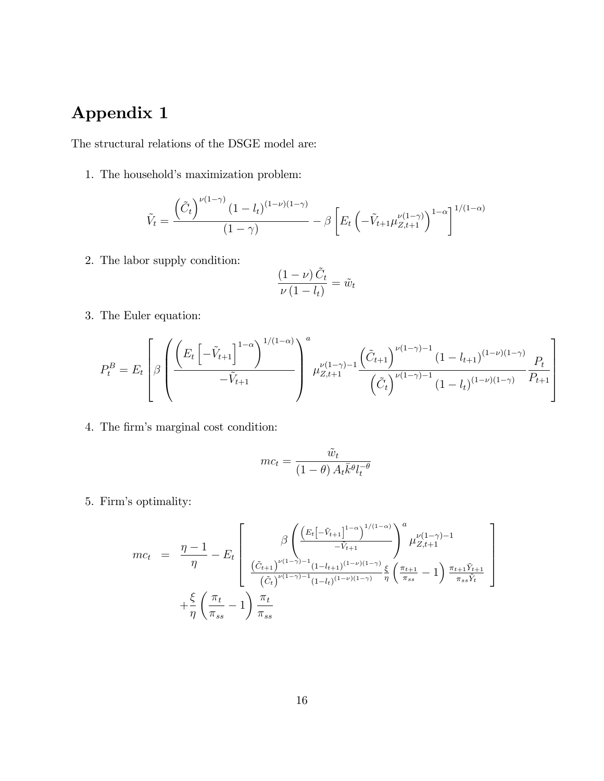# Appendix 1

The structural relations of the DSGE model are:

1. The household's maximization problem:

$$
\tilde{V}_t = \frac{\left(\tilde{C}_t\right)^{\nu(1-\gamma)} (1 - l_t)^{(1-\nu)(1-\gamma)}}{(1-\gamma)} - \beta \left[E_t \left(-\tilde{V}_{t+1} \mu_{Z,t+1}^{\nu(1-\gamma)}\right)^{1-\alpha}\right]^{1/(1-\alpha)}
$$

2. The labor supply condition:

$$
\frac{(1-\nu)\,\tilde{C}_t}{\nu\,(1-l_t)}=\tilde{w}_t
$$

3. The Euler equation:

$$
P_t^B = E_t \left[ \beta \left( \frac{\left( E_t \left[ -\tilde{V}_{t+1} \right]^{1-\alpha} \right)^{1/(1-\alpha)}}{-\tilde{V}_{t+1}} \right)^a \mu_{Z,t+1}^{\nu(1-\gamma)-1} \frac{\left( \tilde{C}_{t+1} \right)^{\nu(1-\gamma)-1} (1 - l_{t+1})^{(1-\nu)(1-\gamma)}}{\left( \tilde{C}_t \right)^{\nu(1-\gamma)-1} (1 - l_t)^{(1-\nu)(1-\gamma)}} \frac{P_t}{P_{t+1}} \right] \right]
$$

4. The firm's marginal cost condition:

$$
mc_t = \frac{\tilde{w}_t}{(1-\theta) A_t \bar{k}^{\theta} l_t^{-\theta}}
$$

5. Firmís optimality:

$$
mc_{t} = \frac{\eta - 1}{\eta} - E_{t} \left[ \frac{\beta \left( \frac{\left( E_{t} \left[ -\tilde{V}_{t+1} \right]^{1-\alpha} \right)^{1/(1-\alpha)}}{-\tilde{V}_{t+1}} \right)^{a} \mu_{Z,t+1}^{\nu(1-\gamma)-1}}{\left( \tilde{C}_{t+1} \right)^{\nu(1-\gamma)-1} \left( 1 - l_{t+1} \right)^{(1-\nu)(1-\gamma)}} \frac{\xi}{\eta} \left( \frac{\pi_{t+1}}{\pi_{ss}} - 1 \right) \frac{\pi_{t+1} \tilde{Y}_{t+1}}{\pi_{ss} \tilde{Y}_{t}} \right] + \frac{\xi}{\eta} \left( \frac{\pi_{t}}{\pi_{ss}} - 1 \right) \frac{\pi_{t}}{\pi_{ss}} \frac{\pi_{t}}{\pi_{ss}} \left( \frac{\pi_{t+1}}{\pi_{ss}} - 1 \right) \frac{\pi_{t+1}}{\pi_{ss}} \frac{\xi}{\tilde{Y}_{t}} \left( \frac{\pi_{t+1}}{\pi_{ss}} - 1 \right) \frac{\pi_{t+1}}{\pi_{ss}} \frac{\pi_{t+1}}{\pi_{ss}} \frac{\xi}{\tilde{Y}_{t}} \frac{\xi}{\tilde{Y}_{t}} \frac{\xi}{\tilde{Y}_{t}} \frac{\xi}{\tilde{Y}_{t}} \frac{\xi}{\tilde{Y}_{t}} \frac{\xi}{\tilde{Y}_{t}} \frac{\xi}{\tilde{Y}_{t}} \frac{\xi}{\tilde{Y}_{t}} \frac{\xi}{\tilde{Y}_{t}} \frac{\xi}{\tilde{Y}_{t}} \frac{\xi}{\tilde{Y}_{t}} \frac{\xi}{\tilde{Y}_{t}} \frac{\xi}{\tilde{Y}_{t}} \frac{\xi}{\tilde{Y}_{t}} \frac{\xi}{\tilde{Y}_{t}} \frac{\xi}{\tilde{Y}_{t}} \frac{\xi}{\tilde{Y}_{t}} \frac{\xi}{\tilde{Y}_{t}} \frac{\xi}{\tilde{Y}_{t}} \frac{\xi}{\tilde{Y}_{t}} \frac{\xi}{\tilde{Y}_{t}} \frac{\xi}{\tilde{Y}_{t}} \frac{\xi}{\tilde{Y}_{t}} \frac{\xi}{\tilde{Y}_{t}} \frac{\xi}{\tilde{Y}_{t}} \frac{\xi}{\tilde{Y}_{t}} \frac{\xi}{\tilde{Y}_{t}} \frac{\xi}{\tilde{Y}_{t}} \frac{\xi}{\tilde{Y}_{t}} \frac{\xi}{
$$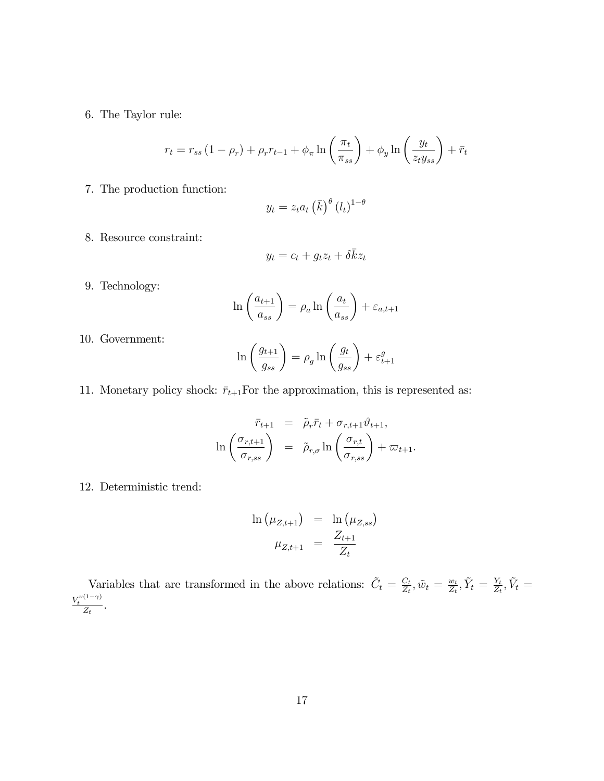6. The Taylor rule:

$$
r_t = r_{ss} \left( 1 - \rho_r \right) + \rho_r r_{t-1} + \phi_\pi \ln \left( \frac{\pi_t}{\pi_{ss}} \right) + \phi_y \ln \left( \frac{y_t}{z_t y_{ss}} \right) + \bar{r}_t
$$

7. The production function:

$$
y_t = z_t a_t \left(\bar{k}\right)^{\theta} (l_t)^{1-\theta}
$$

8. Resource constraint:

$$
y_t = c_t + g_t z_t + \delta \bar{k} z_t
$$

9. Technology:

$$
\ln\left(\frac{a_{t+1}}{a_{ss}}\right) = \rho_a \ln\left(\frac{a_t}{a_{ss}}\right) + \varepsilon_{a,t+1}
$$

10. Government:

$$
\ln\left(\frac{g_{t+1}}{g_{ss}}\right) = \rho_g \ln\left(\frac{g_t}{g_{ss}}\right) + \varepsilon_{t+1}^g
$$

11. Monetary policy shock:  $\bar{r}_{t+1}$ For the approximation, this is represented as:

$$
\bar{r}_{t+1} = \tilde{\rho}_r \bar{r}_t + \sigma_{r,t+1} \vartheta_{t+1},
$$
\n
$$
\ln\left(\frac{\sigma_{r,t+1}}{\sigma_{r,ss}}\right) = \tilde{\rho}_{r,\sigma} \ln\left(\frac{\sigma_{r,t}}{\sigma_{r,ss}}\right) + \varpi_{t+1}.
$$

12. Deterministic trend:

$$
\ln (\mu_{Z,t+1}) = \ln (\mu_{Z,ss})
$$
  

$$
\mu_{Z,t+1} = \frac{Z_{t+1}}{Z_t}
$$

Variables that are transformed in the above relations:  $\tilde{C}_t = \frac{C_t}{Z_t}$  $\frac{C_t}{Z_t}, \tilde{w}_t = \frac{w_t}{Z_t}$  $\frac{w_t}{Z_t}, \tilde{Y}_t = \frac{Y_t}{Z_t}$  $\frac{Y_t}{Z_t}, \tilde{V}_t =$  $\frac{V_t^{\nu(1-\gamma)}}{Z_t}$ .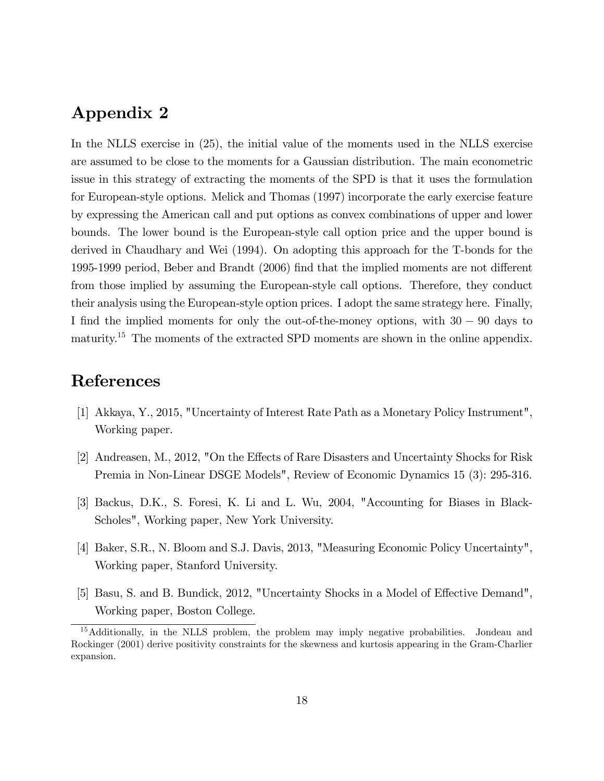# Appendix 2

In the NLLS exercise in (25), the initial value of the moments used in the NLLS exercise are assumed to be close to the moments for a Gaussian distribution. The main econometric issue in this strategy of extracting the moments of the SPD is that it uses the formulation for European-style options. Melick and Thomas (1997) incorporate the early exercise feature by expressing the American call and put options as convex combinations of upper and lower bounds. The lower bound is the European-style call option price and the upper bound is derived in Chaudhary and Wei (1994). On adopting this approach for the T-bonds for the 1995-1999 period, Beber and Brandt (2006) find that the implied moments are not different from those implied by assuming the European-style call options. Therefore, they conduct their analysis using the European-style option prices. I adopt the same strategy here. Finally, I find the implied moments for only the out-of-the-money options, with  $30 - 90$  days to maturity.<sup>15</sup> The moments of the extracted SPD moments are shown in the online appendix.

# References

- [1] Akkaya, Y., 2015, "Uncertainty of Interest Rate Path as a Monetary Policy Instrument", Working paper.
- [2] Andreasen, M., 2012, "On the Effects of Rare Disasters and Uncertainty Shocks for Risk Premia in Non-Linear DSGE Models", Review of Economic Dynamics 15 (3): 295-316.
- [3] Backus, D.K., S. Foresi, K. Li and L. Wu, 2004, "Accounting for Biases in Black-Scholes", Working paper, New York University.
- [4] Baker, S.R., N. Bloom and S.J. Davis, 2013, "Measuring Economic Policy Uncertainty", Working paper, Stanford University.
- [5] Basu, S. and B. Bundick, 2012, "Uncertainty Shocks in a Model of Effective Demand", Working paper, Boston College.

<sup>&</sup>lt;sup>15</sup>Additionally, in the NLLS problem, the problem may imply negative probabilities. Jondeau and Rockinger (2001) derive positivity constraints for the skewness and kurtosis appearing in the Gram-Charlier expansion.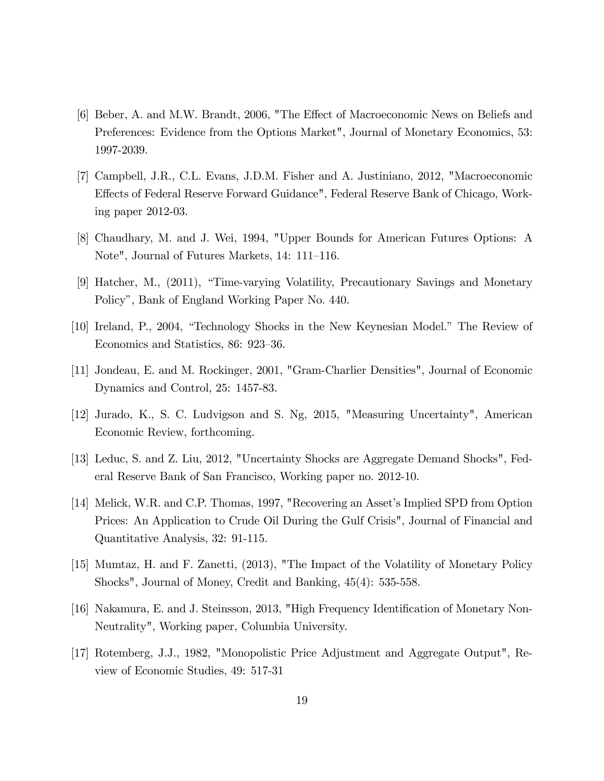- [6] Beber, A. and M.W. Brandt, 2006, "The Effect of Macroeconomic News on Beliefs and Preferences: Evidence from the Options Market", Journal of Monetary Economics, 53: 1997-2039.
- [7] Campbell, J.R., C.L. Evans, J.D.M. Fisher and A. Justiniano, 2012, "Macroeconomic Effects of Federal Reserve Forward Guidance", Federal Reserve Bank of Chicago, Working paper 2012-03.
- [8] Chaudhary, M. and J. Wei, 1994, "Upper Bounds for American Futures Options: A Note", Journal of Futures Markets, 14: 111–116.
- [9] Hatcher, M., (2011), "Time-varying Volatility, Precautionary Savings and Monetary Policyî, Bank of England Working Paper No. 440.
- [10] Ireland, P., 2004, "Technology Shocks in the New Keynesian Model." The Review of Economics and Statistics, 86: 923–36.
- [11] Jondeau, E. and M. Rockinger, 2001, "Gram-Charlier Densities", Journal of Economic Dynamics and Control, 25: 1457-83.
- [12] Jurado, K., S. C. Ludvigson and S. Ng, 2015, "Measuring Uncertainty", American Economic Review, forthcoming.
- [13] Leduc, S. and Z. Liu, 2012, "Uncertainty Shocks are Aggregate Demand Shocks", Federal Reserve Bank of San Francisco, Working paper no. 2012-10.
- [14] Melick, W.R. and C.P. Thomas, 1997, "Recovering an Asset's Implied SPD from Option Prices: An Application to Crude Oil During the Gulf Crisis", Journal of Financial and Quantitative Analysis, 32: 91-115.
- [15] Mumtaz, H. and F. Zanetti, (2013), "The Impact of the Volatility of Monetary Policy Shocks", Journal of Money, Credit and Banking, 45(4): 535-558.
- [16] Nakamura, E. and J. Steinsson, 2013, "High Frequency Identification of Monetary Non-Neutrality", Working paper, Columbia University.
- [17] Rotemberg, J.J., 1982, "Monopolistic Price Adjustment and Aggregate Output", Review of Economic Studies, 49: 517-31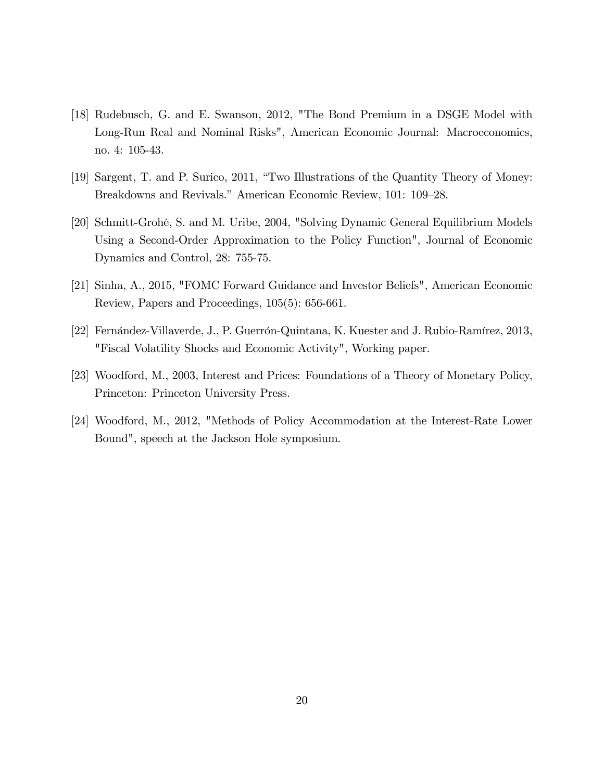- [18] Rudebusch, G. and E. Swanson, 2012, "The Bond Premium in a DSGE Model with Long-Run Real and Nominal Risks", American Economic Journal: Macroeconomics, no. 4: 105-43.
- [19] Sargent, T. and P. Surico, 2011, "Two Illustrations of the Quantity Theory of Money: Breakdowns and Revivals." American Economic Review, 101: 109–28.
- [20] Schmitt-Grohé, S. and M. Uribe, 2004, "Solving Dynamic General Equilibrium Models Using a Second-Order Approximation to the Policy Function", Journal of Economic Dynamics and Control, 28: 755-75.
- [21] Sinha, A., 2015, "FOMC Forward Guidance and Investor Beliefs", American Economic Review, Papers and Proceedings, 105(5): 656-661.
- [22] Fernández-Villaverde, J., P. Guerrón-Quintana, K. Kuester and J. Rubio-Ramírez, 2013, "Fiscal Volatility Shocks and Economic Activity", Working paper.
- [23] Woodford, M., 2003, Interest and Prices: Foundations of a Theory of Monetary Policy, Princeton: Princeton University Press.
- [24] Woodford, M., 2012, "Methods of Policy Accommodation at the Interest-Rate Lower Bound", speech at the Jackson Hole symposium.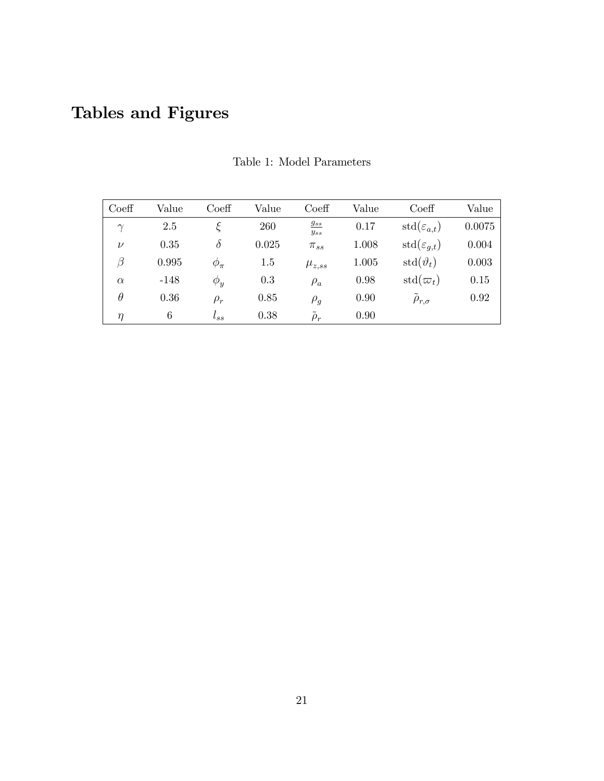# Tables and Figures

| $\mathrm{Coeff}$ | Value  | $\mathrm{Coeff}$ | Value   | Coeff                | Value | Coeff                           | Value  |
|------------------|--------|------------------|---------|----------------------|-------|---------------------------------|--------|
| $\gamma$         | 2.5    |                  | 260     | $g_{ss}$<br>$y_{ss}$ | 0.17  | $\text{std}(\varepsilon_{a,t})$ | 0.0075 |
| $\nu$            | 0.35   | $\delta$         | 0.025   | $\pi_{ss}$           | 1.008 | $\text{std}(\varepsilon_{q,t})$ | 0.004  |
| $\beta$          | 0.995  | $\phi_{\pi}$     | $1.5\,$ | $\mu_{z,ss}$         | 1.005 | $\text{std}(\vartheta_t)$       | 0.003  |
| $\alpha$         | $-148$ | $\phi_y$         | 0.3     | $\rho_a$             | 0.98  | $\mathrm{std}(\varpi_t)$        | 0.15   |
| $\theta$         | 0.36   | $\rho_r$         | 0.85    | $\rho_g$             | 0.90  | $\widetilde{\rho}_{r,\sigma}$   | 0.92   |
| $\eta$           | 6      | $l_{SS}$         | 0.38    | $\tilde{\rho}_r$     | 0.90  |                                 |        |

Table 1: Model Parameters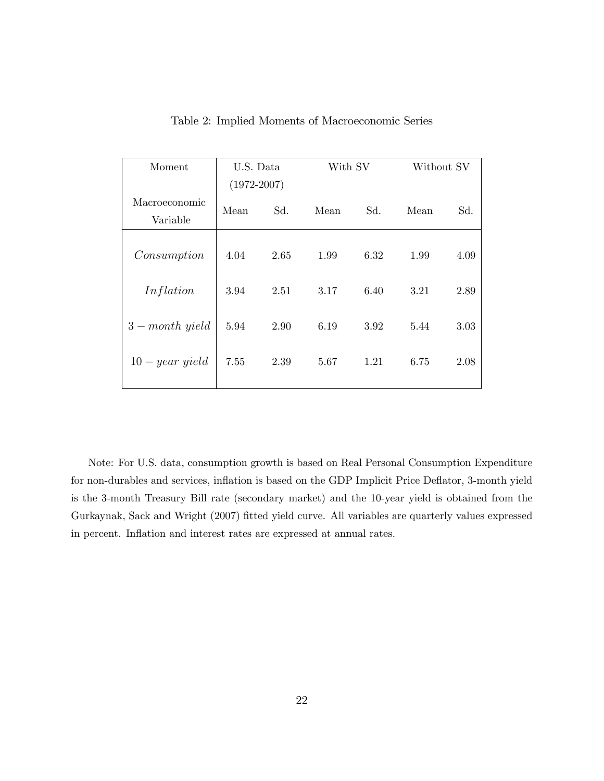| Moment            | U.S. Data       |      | With SV |      | Without SV |      |
|-------------------|-----------------|------|---------|------|------------|------|
|                   | $(1972 - 2007)$ |      |         |      |            |      |
| Macroeconomic     | Mean            | Sd.  | Mean    | Sd.  | Mean       | Sd.  |
| Variable          |                 |      |         |      |            |      |
|                   |                 |      |         |      |            |      |
| Consumption       | 4.04            | 2.65 | 1.99    | 6.32 | 1.99       | 4.09 |
|                   |                 |      |         |      |            |      |
| Inflation         | 3.94            | 2.51 | 3.17    | 6.40 | 3.21       | 2.89 |
|                   |                 |      |         |      |            |      |
| $3 - month$ yield | 5.94            | 2.90 | 6.19    | 3.92 | 5.44       | 3.03 |
|                   |                 |      |         |      |            |      |
| $10 - year$ yield | 7.55            | 2.39 | 5.67    | 1.21 | 6.75       | 2.08 |
|                   |                 |      |         |      |            |      |

Table 2: Implied Moments of Macroeconomic Series

Note: For U.S. data, consumption growth is based on Real Personal Consumption Expenditure for non-durables and services, inflation is based on the GDP Implicit Price Deflator, 3-month yield is the 3-month Treasury Bill rate (secondary market) and the 10-year yield is obtained from the Gurkaynak, Sack and Wright (2007) fitted yield curve. All variables are quarterly values expressed in percent. Inflation and interest rates are expressed at annual rates.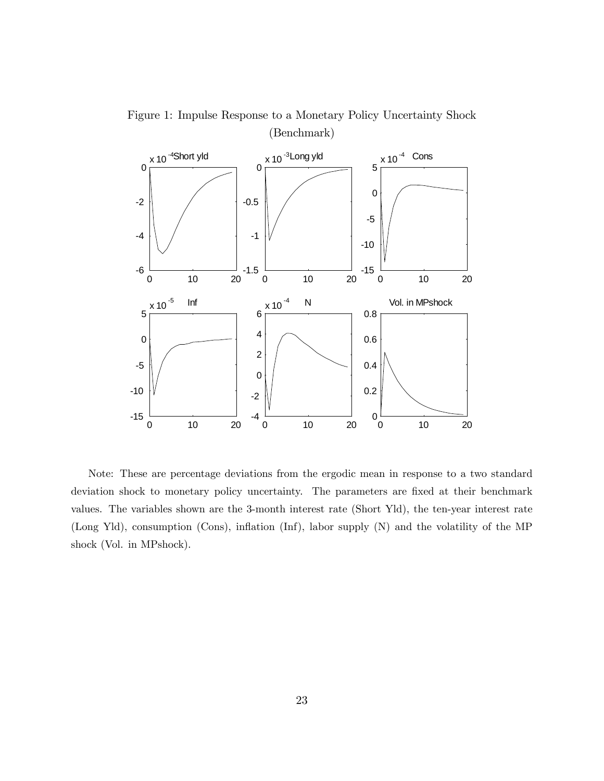

Figure 1: Impulse Response to a Monetary Policy Uncertainty Shock (Benchmark)

Note: These are percentage deviations from the ergodic mean in response to a two standard deviation shock to monetary policy uncertainty. The parameters are fixed at their benchmark values. The variables shown are the 3-month interest rate (Short Yld), the ten-year interest rate (Long Yld), consumption (Cons), inflation (Inf), labor supply (N) and the volatility of the MP shock (Vol. in MPshock).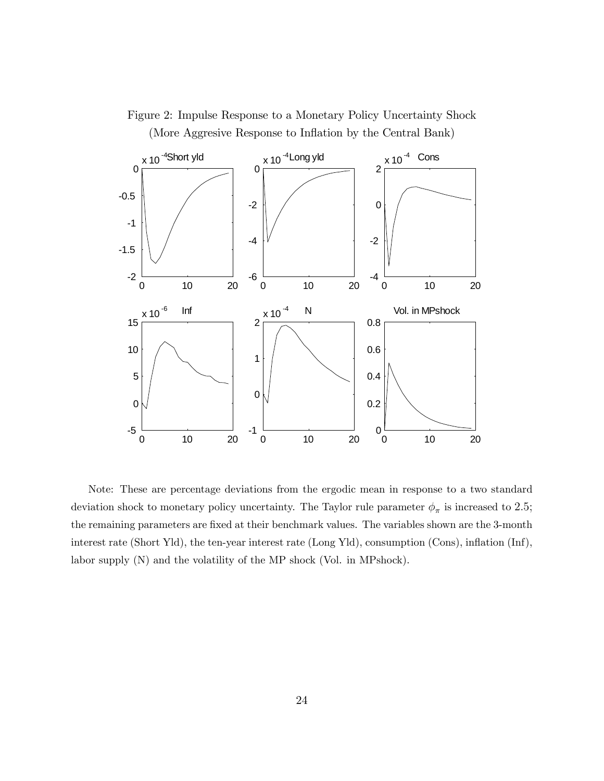

Figure 2: Impulse Response to a Monetary Policy Uncertainty Shock (More Aggresive Response to Inflation by the Central Bank)

Note: These are percentage deviations from the ergodic mean in response to a two standard deviation shock to monetary policy uncertainty. The Taylor rule parameter  $\phi_{\pi}$  is increased to 2.5; the remaining parameters are fixed at their benchmark values. The variables shown are the 3-month interest rate (Short Yld), the ten-year interest rate (Long Yld), consumption (Cons), inflation (Inf), labor supply (N) and the volatility of the MP shock (Vol. in MPshock).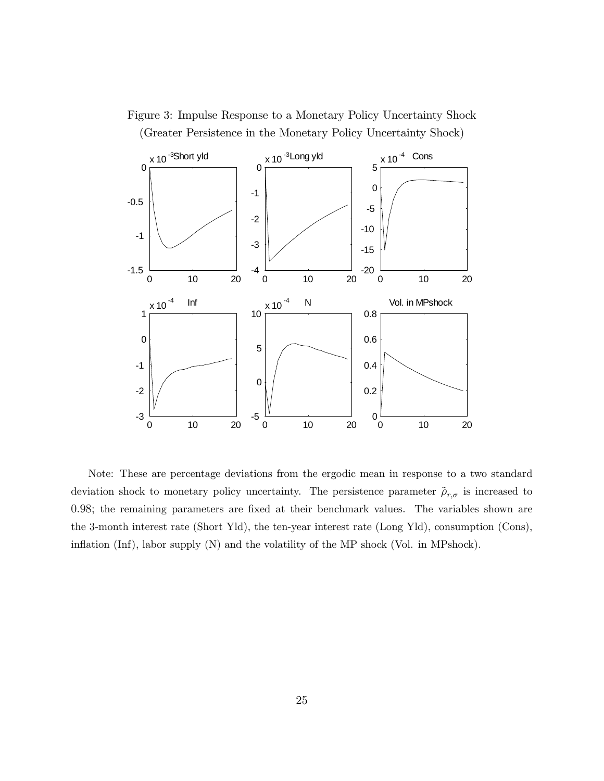



Note: These are percentage deviations from the ergodic mean in response to a two standard deviation shock to monetary policy uncertainty. The persistence parameter  $\rho_{r,\sigma}$  is increased to 0.98; the remaining parameters are fixed at their benchmark values. The variables shown are the 3-month interest rate (Short Yld), the ten-year interest rate (Long Yld), consumption (Cons), inflation (Inf), labor supply (N) and the volatility of the MP shock (Vol. in MPshock).